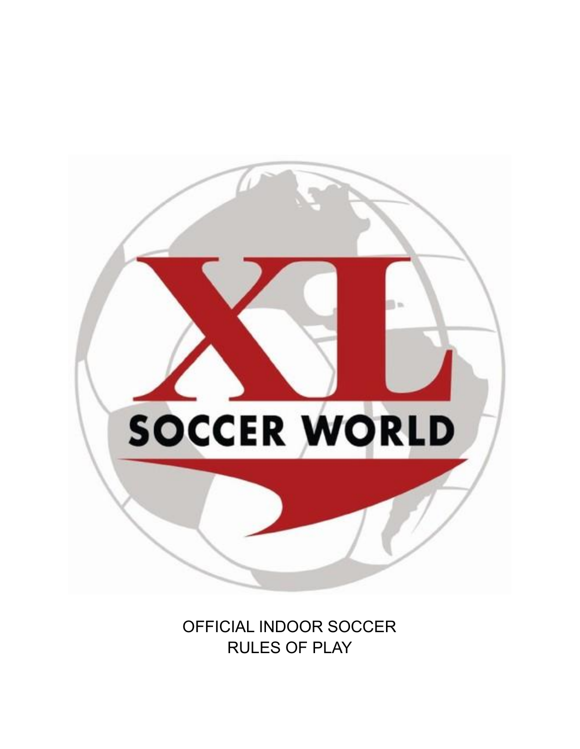

OFFICIAL INDOOR SOCCER RULES OF PLAY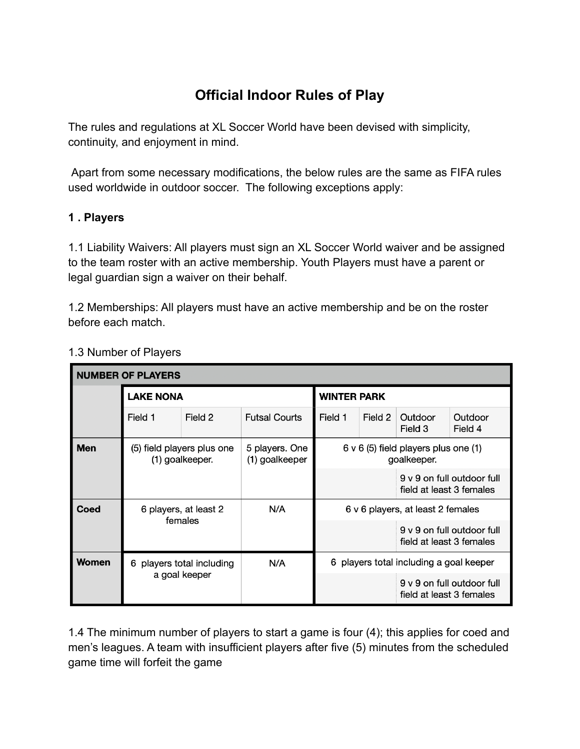# **Official Indoor Rules of Play**

The rules and regulations at XL Soccer World have been devised with simplicity, continuity, and enjoyment in mind.

Apart from some necessary modifications, the below rules are the same as FIFA rules used worldwide in outdoor soccer. The following exceptions apply:

## **1 . Players**

1.1 Liability Waivers: All players must sign an XL Soccer World waiver and be assigned to the team roster with an active membership. Youth Players must have a parent or legal guardian sign a waiver on their behalf.

1.2 Memberships: All players must have an active membership and be on the roster before each match.

| <b>NUMBER OF PLAYERS</b> |                                               |                           |                                  |                                                          |         |                          |                            |  |
|--------------------------|-----------------------------------------------|---------------------------|----------------------------------|----------------------------------------------------------|---------|--------------------------|----------------------------|--|
|                          | <b>LAKE NONA</b>                              |                           |                                  | <b>WINTER PARK</b>                                       |         |                          |                            |  |
|                          | Field 1                                       | Field 2                   | <b>Futsal Courts</b>             | Field 1                                                  | Field 2 | Outdoor<br>Field 3       | Outdoor<br>Field 4         |  |
| <b>Men</b>               | (5) field players plus one<br>(1) goalkeeper. |                           | 5 players. One<br>(1) goalkeeper | $6 \vee 6$ (5) field players plus one (1)<br>goalkeeper. |         |                          |                            |  |
|                          |                                               |                           |                                  |                                                          |         | field at least 3 females | 9 v 9 on full outdoor full |  |
| Coed                     | 6 players, at least 2<br>females              |                           | N/A                              | 6 v 6 players, at least 2 females                        |         |                          |                            |  |
|                          |                                               |                           |                                  |                                                          |         | field at least 3 females | 9 v 9 on full outdoor full |  |
| <b>Women</b>             |                                               | 6 players total including | N/A                              | 6 players total including a goal keeper                  |         |                          |                            |  |
|                          | a goal keeper                                 |                           |                                  |                                                          |         | field at least 3 females | 9 v 9 on full outdoor full |  |

#### 1.3 Number of Players

1.4 The minimum number of players to start a game is four (4); this applies for coed and men's leagues. A team with insufficient players after five (5) minutes from the scheduled game time will forfeit the game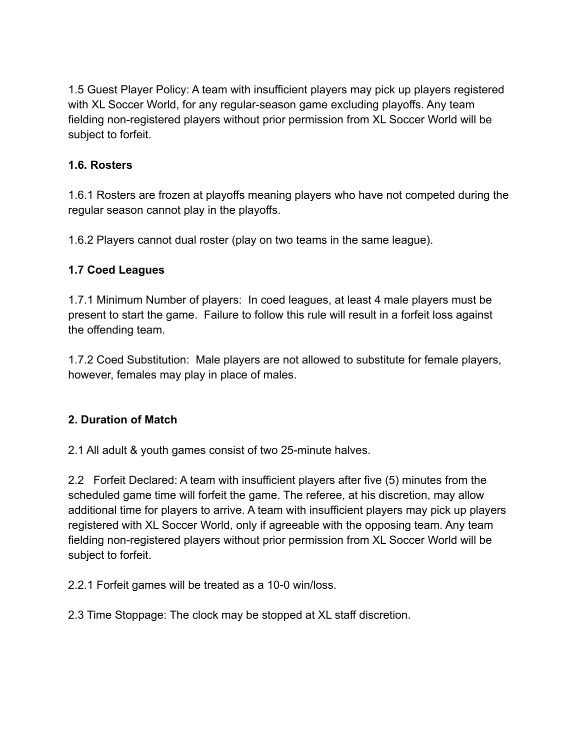1.5 Guest Player Policy: A team with insufficient players may pick up players registered with XL Soccer World, for any regular-season game excluding playoffs. Any team fielding non-registered players without prior permission from XL Soccer World will be subject to forfeit.

## **1.6. Rosters**

1.6.1 Rosters are frozen at playoffs meaning players who have not competed during the regular season cannot play in the playoffs.

1.6.2 Players cannot dual roster (play on two teams in the same league).

## **1.7 Coed Leagues**

1.7.1 Minimum Number of players: In coed leagues, at least 4 male players must be present to start the game. Failure to follow this rule will result in a forfeit loss against the offending team.

1.7.2 Coed Substitution: Male players are not allowed to substitute for female players, however, females may play in place of males.

# **2. Duration of Match**

2.1 All adult & youth games consist of two 25-minute halves.

2.2 Forfeit Declared: A team with insufficient players after five (5) minutes from the scheduled game time will forfeit the game. The referee, at his discretion, may allow additional time for players to arrive. A team with insufficient players may pick up players registered with XL Soccer World, only if agreeable with the opposing team. Any team fielding non-registered players without prior permission from XL Soccer World will be subject to forfeit.

2.2.1 Forfeit games will be treated as a 10-0 win/loss.

2.3 Time Stoppage: The clock may be stopped at XL staff discretion.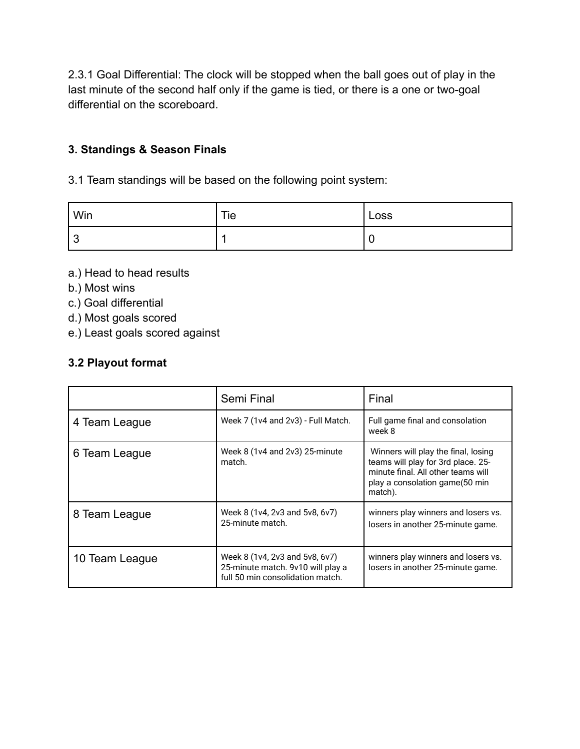2.3.1 Goal Differential: The clock will be stopped when the ball goes out of play in the last minute of the second half only if the game is tied, or there is a one or two-goal differential on the scoreboard.

## **3. Standings & Season Finals**

3.1 Team standings will be based on the following point system:

| ' Win                         | Tie | Loss |
|-------------------------------|-----|------|
| $\overline{\phantom{a}}$<br>പ |     | ∼    |

a.) Head to head results

- b.) Most wins
- c.) Goal differential
- d.) Most goals scored
- e.) Least goals scored against

#### **3.2 Playout format**

|                | Semi Final                                                                                              | Final                                                                                                                                                        |  |
|----------------|---------------------------------------------------------------------------------------------------------|--------------------------------------------------------------------------------------------------------------------------------------------------------------|--|
| 4 Team League  | Week 7 (1v4 and 2v3) - Full Match.                                                                      | Full game final and consolation<br>week 8                                                                                                                    |  |
| 6 Team League  | Week 8 (1v4 and 2v3) 25-minute<br>match.                                                                | Winners will play the final, losing<br>teams will play for 3rd place. 25-<br>minute final. All other teams will<br>play a consolation game(50 min<br>match). |  |
| 8 Team League  | Week 8 (1v4, 2v3 and 5v8, 6v7)<br>25-minute match.                                                      | winners play winners and losers vs.<br>losers in another 25-minute game.                                                                                     |  |
| 10 Team League | Week 8 (1v4, 2v3 and 5v8, 6v7)<br>25-minute match. 9v10 will play a<br>full 50 min consolidation match. | winners play winners and losers vs.<br>losers in another 25-minute game.                                                                                     |  |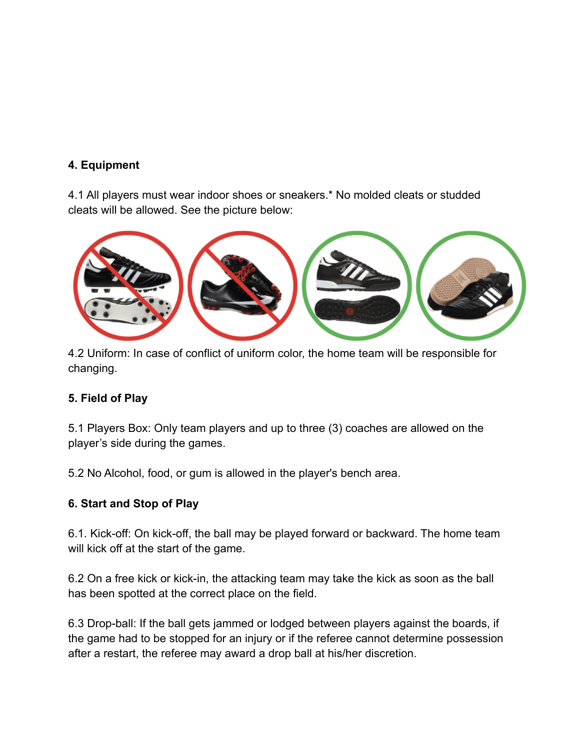#### **4. Equipment**

4.1 All players must wear indoor shoes or sneakers.\* No molded cleats or studded cleats will be allowed. See the picture below:



4.2 Uniform: In case of conflict of uniform color, the home team will be responsible for changing.

# **5. Field of Play**

5.1 Players Box: Only team players and up to three (3) coaches are allowed on the player's side during the games.

5.2 No Alcohol, food, or gum is allowed in the player's bench area.

# **6. Start and Stop of Play**

6.1. Kick-off: On kick-off, the ball may be played forward or backward. The home team will kick off at the start of the game.

6.2 On a free kick or kick-in, the attacking team may take the kick as soon as the ball has been spotted at the correct place on the field.

6.3 Drop-ball: If the ball gets jammed or lodged between players against the boards, if the game had to be stopped for an injury or if the referee cannot determine possession after a restart, the referee may award a drop ball at his/her discretion.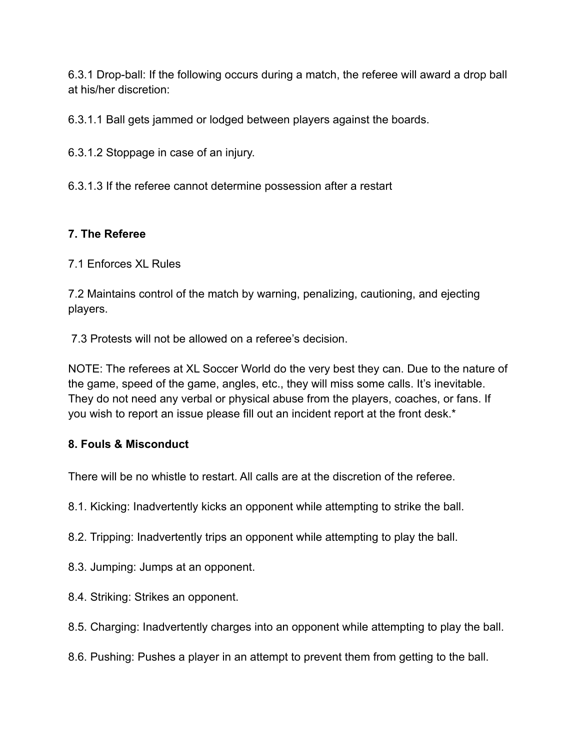6.3.1 Drop-ball: If the following occurs during a match, the referee will award a drop ball at his/her discretion:

6.3.1.1 Ball gets jammed or lodged between players against the boards.

6.3.1.2 Stoppage in case of an injury.

6.3.1.3 If the referee cannot determine possession after a restart

# **7. The Referee**

7.1 Enforces XL Rules

7.2 Maintains control of the match by warning, penalizing, cautioning, and ejecting players.

7.3 Protests will not be allowed on a referee's decision.

NOTE: The referees at XL Soccer World do the very best they can. Due to the nature of the game, speed of the game, angles, etc., they will miss some calls. It's inevitable. They do not need any verbal or physical abuse from the players, coaches, or fans. If you wish to report an issue please fill out an incident report at the front desk.\*

#### **8. Fouls & Misconduct**

There will be no whistle to restart. All calls are at the discretion of the referee.

8.1. Kicking: Inadvertently kicks an opponent while attempting to strike the ball.

8.2. Tripping: Inadvertently trips an opponent while attempting to play the ball.

8.3. Jumping: Jumps at an opponent.

8.4. Striking: Strikes an opponent.

8.5. Charging: Inadvertently charges into an opponent while attempting to play the ball.

8.6. Pushing: Pushes a player in an attempt to prevent them from getting to the ball.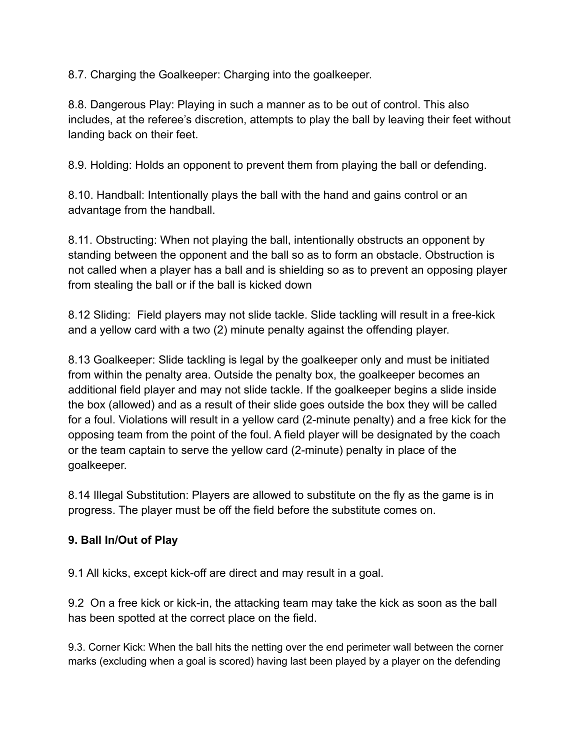8.7. Charging the Goalkeeper: Charging into the goalkeeper.

8.8. Dangerous Play: Playing in such a manner as to be out of control. This also includes, at the referee's discretion, attempts to play the ball by leaving their feet without landing back on their feet.

8.9. Holding: Holds an opponent to prevent them from playing the ball or defending.

8.10. Handball: Intentionally plays the ball with the hand and gains control or an advantage from the handball.

8.11. Obstructing: When not playing the ball, intentionally obstructs an opponent by standing between the opponent and the ball so as to form an obstacle. Obstruction is not called when a player has a ball and is shielding so as to prevent an opposing player from stealing the ball or if the ball is kicked down

8.12 Sliding: Field players may not slide tackle. Slide tackling will result in a free-kick and a yellow card with a two (2) minute penalty against the offending player.

8.13 Goalkeeper: Slide tackling is legal by the goalkeeper only and must be initiated from within the penalty area. Outside the penalty box, the goalkeeper becomes an additional field player and may not slide tackle. If the goalkeeper begins a slide inside the box (allowed) and as a result of their slide goes outside the box they will be called for a foul. Violations will result in a yellow card (2-minute penalty) and a free kick for the opposing team from the point of the foul. A field player will be designated by the coach or the team captain to serve the yellow card (2-minute) penalty in place of the goalkeeper.

8.14 Illegal Substitution: Players are allowed to substitute on the fly as the game is in progress. The player must be off the field before the substitute comes on.

# **9. Ball In/Out of Play**

9.1 All kicks, except kick-off are direct and may result in a goal.

9.2 On a free kick or kick-in, the attacking team may take the kick as soon as the ball has been spotted at the correct place on the field.

9.3. Corner Kick: When the ball hits the netting over the end perimeter wall between the corner marks (excluding when a goal is scored) having last been played by a player on the defending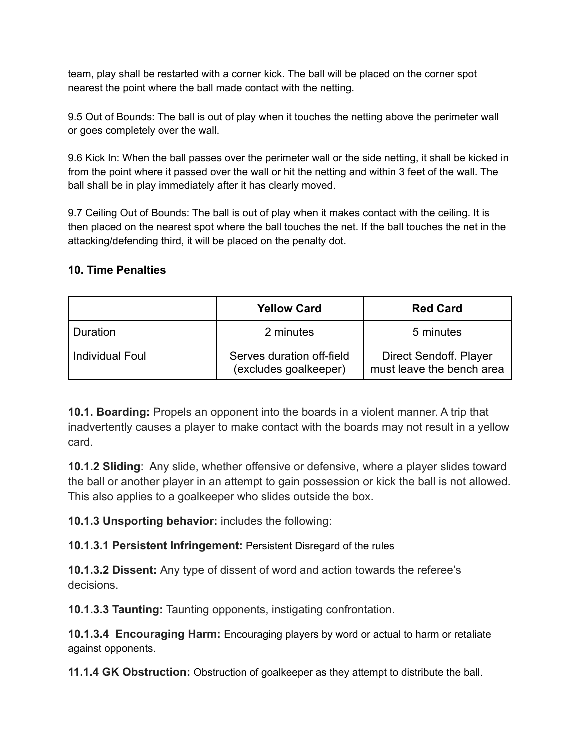team, play shall be restarted with a corner kick. The ball will be placed on the corner spot nearest the point where the ball made contact with the netting.

9.5 Out of Bounds: The ball is out of play when it touches the netting above the perimeter wall or goes completely over the wall.

9.6 Kick In: When the ball passes over the perimeter wall or the side netting, it shall be kicked in from the point where it passed over the wall or hit the netting and within 3 feet of the wall. The ball shall be in play immediately after it has clearly moved.

9.7 Ceiling Out of Bounds: The ball is out of play when it makes contact with the ceiling. It is then placed on the nearest spot where the ball touches the net. If the ball touches the net in the attacking/defending third, it will be placed on the penalty dot.

#### **10. Time Penalties**

|                        | <b>Yellow Card</b>                                 | <b>Red Card</b>                                     |
|------------------------|----------------------------------------------------|-----------------------------------------------------|
| Duration               | 2 minutes                                          | 5 minutes                                           |
| <b>Individual Foul</b> | Serves duration off-field<br>(excludes goalkeeper) | Direct Sendoff. Player<br>must leave the bench area |

**10.1. Boarding:** Propels an opponent into the boards in a violent manner. A trip that inadvertently causes a player to make contact with the boards may not result in a yellow card.

**10.1.2 Sliding**: Any slide, whether offensive or defensive, where a player slides toward the ball or another player in an attempt to gain possession or kick the ball is not allowed. This also applies to a goalkeeper who slides outside the box.

**10.1.3 Unsporting behavior:** includes the following:

**10.1.3.1 Persistent Infringement:** Persistent Disregard of the rules

**10.1.3.2 Dissent:** Any type of dissent of word and action towards the referee's decisions.

**10.1.3.3 Taunting:** Taunting opponents, instigating confrontation.

**10.1.3.4 Encouraging Harm:** Encouraging players by word or actual to harm or retaliate against opponents.

**11.1.4 GK Obstruction:** Obstruction of goalkeeper as they attempt to distribute the ball.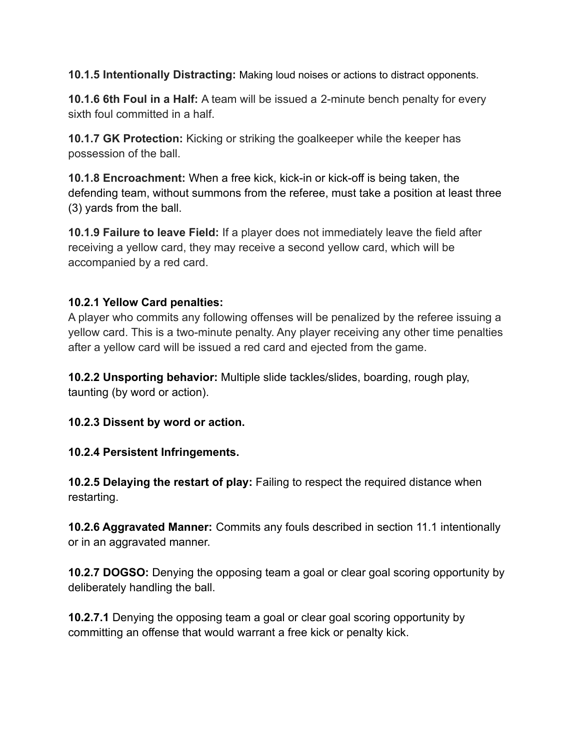**10.1.5 Intentionally Distracting:** Making loud noises or actions to distract opponents.

**10.1.6 6th Foul in a Half:** A team will be issued a 2-minute bench penalty for every sixth foul committed in a half.

**10.1.7 GK Protection:** Kicking or striking the goalkeeper while the keeper has possession of the ball.

**10.1.8 Encroachment:** When a free kick, kick-in or kick-off is being taken, the defending team, without summons from the referee, must take a position at least three (3) yards from the ball.

**10.1.9 Failure to leave Field:** If a player does not immediately leave the field after receiving a yellow card, they may receive a second yellow card, which will be accompanied by a red card.

## **10.2.1 Yellow Card penalties:**

A player who commits any following offenses will be penalized by the referee issuing a yellow card. This is a two-minute penalty. Any player receiving any other time penalties after a yellow card will be issued a red card and ejected from the game.

**10.2.2 Unsporting behavior:** Multiple slide tackles/slides, boarding, rough play, taunting (by word or action).

**10.2.3 Dissent by word or action.**

**10.2.4 Persistent Infringements.**

**10.2.5 Delaying the restart of play:** Failing to respect the required distance when restarting.

**10.2.6 Aggravated Manner:** Commits any fouls described in section 11.1 intentionally or in an aggravated manner.

**10.2.7 DOGSO:** Denying the opposing team a goal or clear goal scoring opportunity by deliberately handling the ball.

**10.2.7.1** Denying the opposing team a goal or clear goal scoring opportunity by committing an offense that would warrant a free kick or penalty kick.